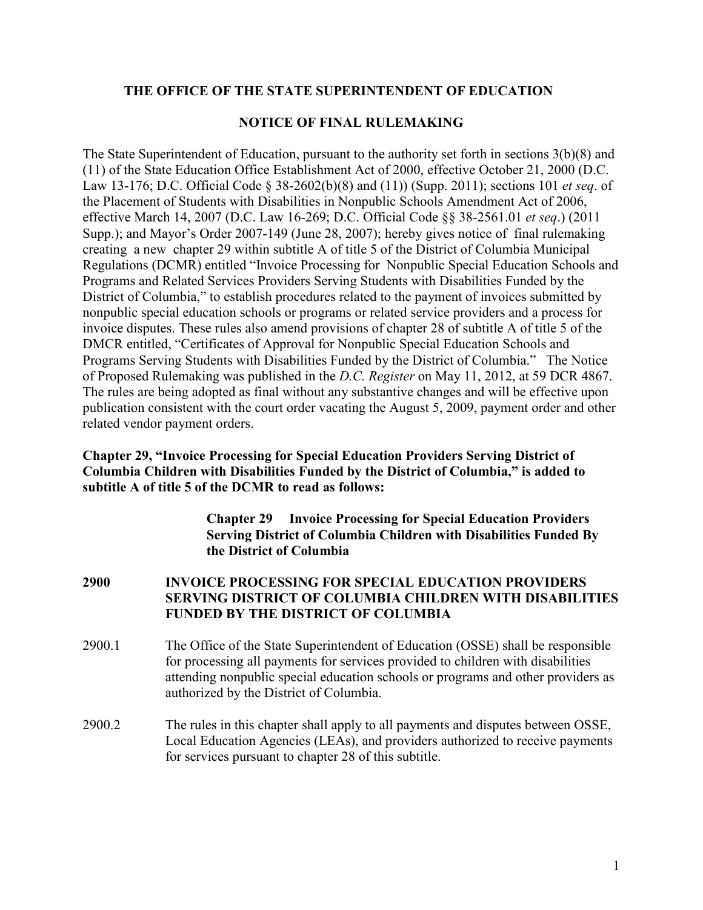## **THE OFFICE OF THE STATE SUPERINTENDENT OF EDUCATION**

### **NOTICE OF FINAL RULEMAKING**

The State Superintendent of Education, pursuant to the authority set forth in sections 3(b)(8) and (11) of the State Education Office Establishment Act of 2000, effective October 21, 2000 (D.C. Law 13-176; D.C. Official Code § 38-2602(b)(8) and (11)) (Supp. 2011); sections 101 *et seq*. of the Placement of Students with Disabilities in Nonpublic Schools Amendment Act of 2006, effective March 14, 2007 (D.C. Law 16-269; D.C. Official Code §§ 38-2561.01 *et seq*.) (2011 Supp.); and Mayor's Order 2007-149 (June 28, 2007); hereby gives notice of final rulemaking creating a new chapter 29 within subtitle A of title 5 of the District of Columbia Municipal Regulations (DCMR) entitled "Invoice Processing for Nonpublic Special Education Schools and Programs and Related Services Providers Serving Students with Disabilities Funded by the District of Columbia," to establish procedures related to the payment of invoices submitted by nonpublic special education schools or programs or related service providers and a process for invoice disputes. These rules also amend provisions of chapter 28 of subtitle A of title 5 of the DMCR entitled, "Certificates of Approval for Nonpublic Special Education Schools and Programs Serving Students with Disabilities Funded by the District of Columbia." The Notice of Proposed Rulemaking was published in the *D.C. Register* on May 11, 2012, at 59 DCR 4867. The rules are being adopted as final without any substantive changes and will be effective upon publication consistent with the court order vacating the August 5, 2009, payment order and other related vendor payment orders.

## **Chapter 29, "Invoice Processing for Special Education Providers Serving District of Columbia Children with Disabilities Funded by the District of Columbia," is added to subtitle A of title 5 of the DCMR to read as follows:**

**Chapter 29 Invoice Processing for Special Education Providers Serving District of Columbia Children with Disabilities Funded By the District of Columbia** 

**2900 INVOICE PROCESSING FOR SPECIAL EDUCATION PROVIDERS SERVING DISTRICT OF COLUMBIA CHILDREN WITH DISABILITIES FUNDED BY THE DISTRICT OF COLUMBIA** 

- 2900.1 The Office of the State Superintendent of Education (OSSE) shall be responsible for processing all payments for services provided to children with disabilities attending nonpublic special education schools or programs and other providers as authorized by the District of Columbia.
- 2900.2 The rules in this chapter shall apply to all payments and disputes between OSSE, Local Education Agencies (LEAs), and providers authorized to receive payments for services pursuant to chapter 28 of this subtitle.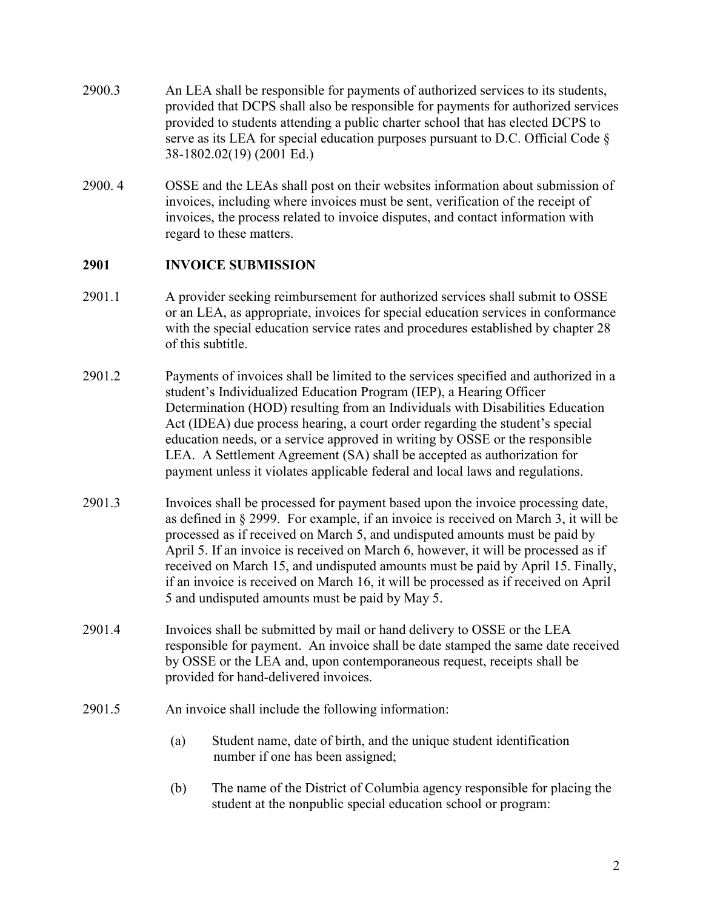- 2900.3 An LEA shall be responsible for payments of authorized services to its students, provided that DCPS shall also be responsible for payments for authorized services provided to students attending a public charter school that has elected DCPS to serve as its LEA for special education purposes pursuant to D.C. Official Code § 38-1802.02(19) (2001 Ed.)
- 2900. 4 OSSE and the LEAs shall post on their websites information about submission of invoices, including where invoices must be sent, verification of the receipt of invoices, the process related to invoice disputes, and contact information with regard to these matters.

# **2901 INVOICE SUBMISSION**

- 2901.1 A provider seeking reimbursement for authorized services shall submit to OSSE or an LEA, as appropriate, invoices for special education services in conformance with the special education service rates and procedures established by chapter 28 of this subtitle.
- 2901.2 Payments of invoices shall be limited to the services specified and authorized in a student's Individualized Education Program (IEP), a Hearing Officer Determination (HOD) resulting from an Individuals with Disabilities Education Act (IDEA) due process hearing, a court order regarding the student's special education needs, or a service approved in writing by OSSE or the responsible LEA. A Settlement Agreement (SA) shall be accepted as authorization for payment unless it violates applicable federal and local laws and regulations.
- 2901.3 Invoices shall be processed for payment based upon the invoice processing date, as defined in § 2999. For example, if an invoice is received on March 3, it will be processed as if received on March 5, and undisputed amounts must be paid by April 5. If an invoice is received on March 6, however, it will be processed as if received on March 15, and undisputed amounts must be paid by April 15. Finally, if an invoice is received on March 16, it will be processed as if received on April 5 and undisputed amounts must be paid by May 5.
- 2901.4 Invoices shall be submitted by mail or hand delivery to OSSE or the LEA responsible for payment. An invoice shall be date stamped the same date received by OSSE or the LEA and, upon contemporaneous request, receipts shall be provided for hand-delivered invoices.
- 2901.5 An invoice shall include the following information:
	- (a) Student name, date of birth, and the unique student identification number if one has been assigned;
	- (b) The name of the District of Columbia agency responsible for placing the student at the nonpublic special education school or program: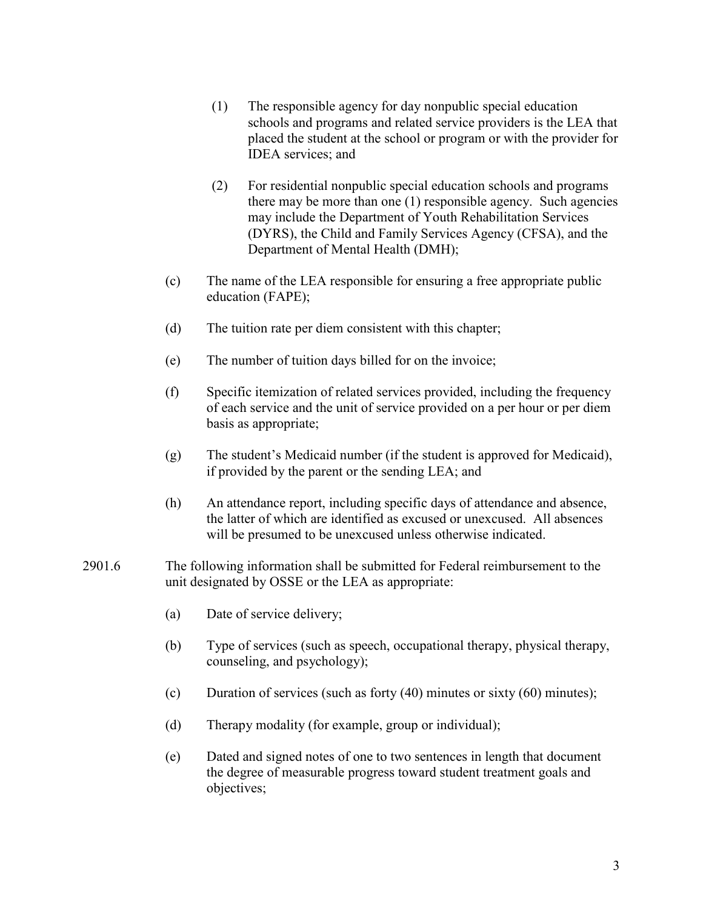- (1) The responsible agency for day nonpublic special education schools and programs and related service providers is the LEA that placed the student at the school or program or with the provider for IDEA services; and
- (2) For residential nonpublic special education schools and programs there may be more than one (1) responsible agency. Such agencies may include the Department of Youth Rehabilitation Services (DYRS), the Child and Family Services Agency (CFSA), and the Department of Mental Health (DMH);
- (c) The name of the LEA responsible for ensuring a free appropriate public education (FAPE);
- (d) The tuition rate per diem consistent with this chapter;
- (e) The number of tuition days billed for on the invoice;
- (f) Specific itemization of related services provided, including the frequency of each service and the unit of service provided on a per hour or per diem basis as appropriate;
- (g) The student's Medicaid number (if the student is approved for Medicaid), if provided by the parent or the sending LEA; and
- (h) An attendance report, including specific days of attendance and absence, the latter of which are identified as excused or unexcused. All absences will be presumed to be unexcused unless otherwise indicated.
- 2901.6 The following information shall be submitted for Federal reimbursement to the unit designated by OSSE or the LEA as appropriate:
	- (a) Date of service delivery;
	- (b) Type of services (such as speech, occupational therapy, physical therapy, counseling, and psychology);
	- (c) Duration of services (such as forty (40) minutes or sixty (60) minutes);
	- (d) Therapy modality (for example, group or individual);
	- (e) Dated and signed notes of one to two sentences in length that document the degree of measurable progress toward student treatment goals and objectives;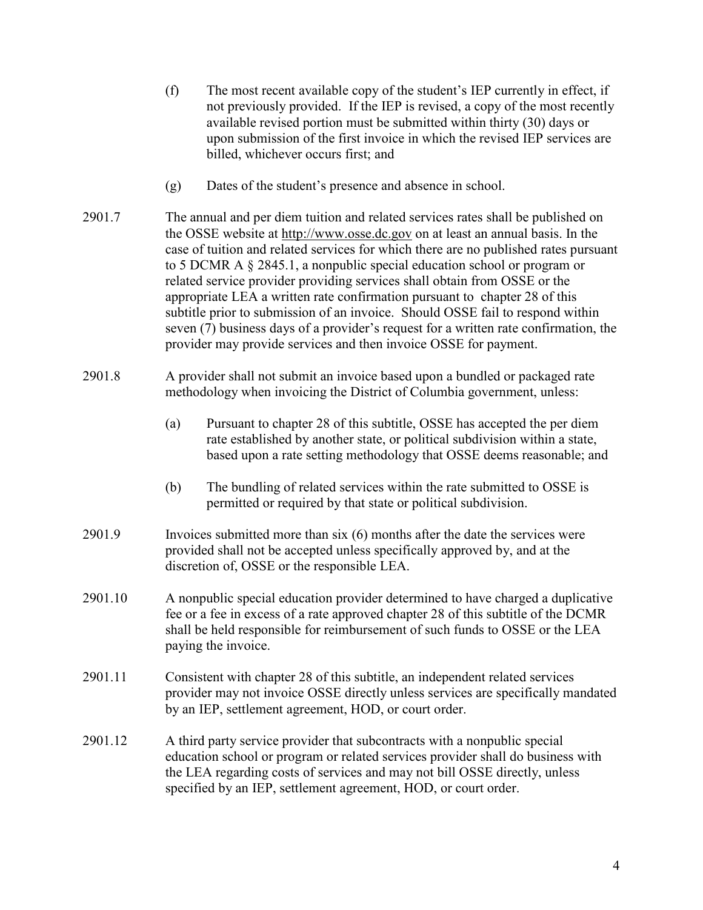- (f) The most recent available copy of the student's IEP currently in effect, if not previously provided. If the IEP is revised, a copy of the most recently available revised portion must be submitted within thirty (30) days or upon submission of the first invoice in which the revised IEP services are billed, whichever occurs first; and
- (g) Dates of the student's presence and absence in school.
- 2901.7 The annual and per diem tuition and related services rates shall be published on the OSSE website at http://www.osse.dc.gov on at least an annual basis. In the case of tuition and related services for which there are no published rates pursuant to 5 DCMR A § 2845.1, a nonpublic special education school or program or related service provider providing services shall obtain from OSSE or the appropriate LEA a written rate confirmation pursuant to chapter 28 of this subtitle prior to submission of an invoice. Should OSSE fail to respond within seven (7) business days of a provider's request for a written rate confirmation, the provider may provide services and then invoice OSSE for payment.
- 2901.8 A provider shall not submit an invoice based upon a bundled or packaged rate methodology when invoicing the District of Columbia government, unless:
	- (a) Pursuant to chapter 28 of this subtitle, OSSE has accepted the per diem rate established by another state, or political subdivision within a state, based upon a rate setting methodology that OSSE deems reasonable; and
	- (b) The bundling of related services within the rate submitted to OSSE is permitted or required by that state or political subdivision.
- 2901.9 Invoices submitted more than six (6) months after the date the services were provided shall not be accepted unless specifically approved by, and at the discretion of, OSSE or the responsible LEA.
- 2901.10 A nonpublic special education provider determined to have charged a duplicative fee or a fee in excess of a rate approved chapter 28 of this subtitle of the DCMR shall be held responsible for reimbursement of such funds to OSSE or the LEA paying the invoice.
- 2901.11 Consistent with chapter 28 of this subtitle, an independent related services provider may not invoice OSSE directly unless services are specifically mandated by an IEP, settlement agreement, HOD, or court order.
- 2901.12 A third party service provider that subcontracts with a nonpublic special education school or program or related services provider shall do business with the LEA regarding costs of services and may not bill OSSE directly, unless specified by an IEP, settlement agreement, HOD, or court order.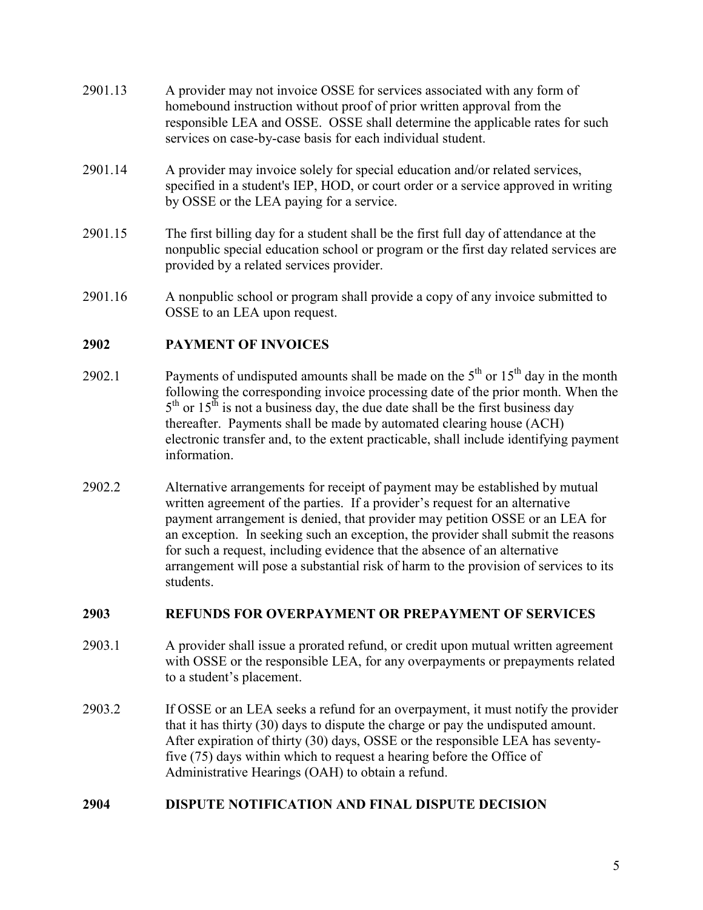- 2901.13 A provider may not invoice OSSE for services associated with any form of homebound instruction without proof of prior written approval from the responsible LEA and OSSE. OSSE shall determine the applicable rates for such services on case-by-case basis for each individual student.
- 2901.14 A provider may invoice solely for special education and/or related services, specified in a student's IEP, HOD, or court order or a service approved in writing by OSSE or the LEA paying for a service.
- 2901.15 The first billing day for a student shall be the first full day of attendance at the nonpublic special education school or program or the first day related services are provided by a related services provider.
- 2901.16 A nonpublic school or program shall provide a copy of any invoice submitted to OSSE to an LEA upon request.

# **2902 PAYMENT OF INVOICES**

- 2902.1 Payments of undisputed amounts shall be made on the  $5<sup>th</sup>$  or  $15<sup>th</sup>$  day in the month following the corresponding invoice processing date of the prior month. When the  $5<sup>th</sup>$  or  $15<sup>th</sup>$  is not a business day, the due date shall be the first business day thereafter. Payments shall be made by automated clearing house (ACH) electronic transfer and, to the extent practicable, shall include identifying payment information.
- 2902.2 Alternative arrangements for receipt of payment may be established by mutual written agreement of the parties. If a provider's request for an alternative payment arrangement is denied, that provider may petition OSSE or an LEA for an exception. In seeking such an exception, the provider shall submit the reasons for such a request, including evidence that the absence of an alternative arrangement will pose a substantial risk of harm to the provision of services to its students.

# **2903 REFUNDS FOR OVERPAYMENT OR PREPAYMENT OF SERVICES**

- 2903.1 A provider shall issue a prorated refund, or credit upon mutual written agreement with OSSE or the responsible LEA, for any overpayments or prepayments related to a student's placement.
- 2903.2 If OSSE or an LEA seeks a refund for an overpayment, it must notify the provider that it has thirty (30) days to dispute the charge or pay the undisputed amount. After expiration of thirty (30) days, OSSE or the responsible LEA has seventyfive (75) days within which to request a hearing before the Office of Administrative Hearings (OAH) to obtain a refund.

### **2904 DISPUTE NOTIFICATION AND FINAL DISPUTE DECISION**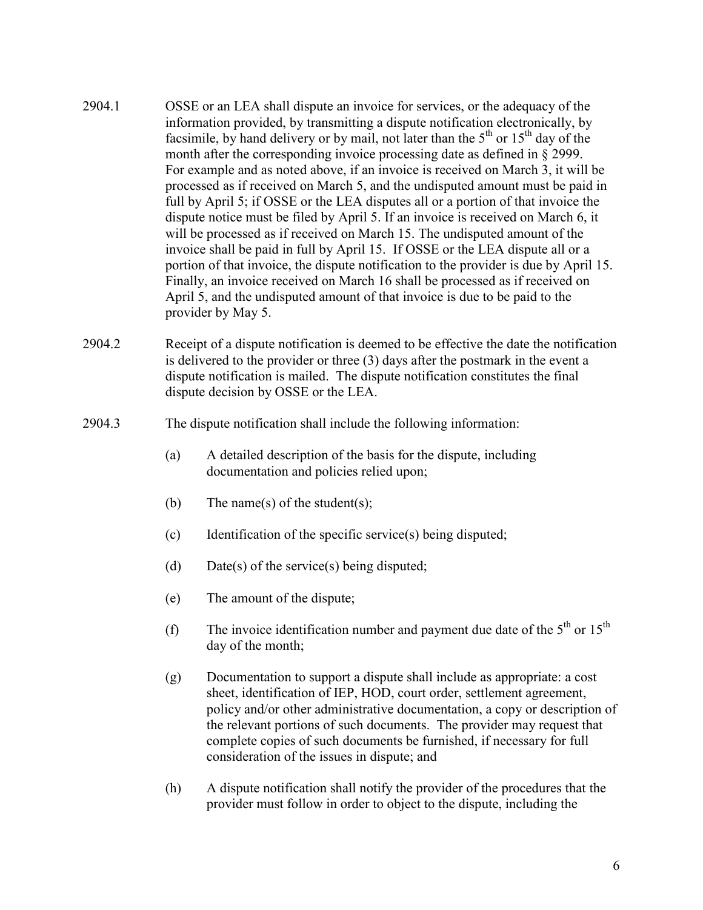- 2904.1 OSSE or an LEA shall dispute an invoice for services, or the adequacy of the information provided, by transmitting a dispute notification electronically, by facsimile, by hand delivery or by mail, not later than the  $5<sup>th</sup>$  or  $15<sup>th</sup>$  day of the month after the corresponding invoice processing date as defined in § 2999. For example and as noted above, if an invoice is received on March 3, it will be processed as if received on March 5, and the undisputed amount must be paid in full by April 5; if OSSE or the LEA disputes all or a portion of that invoice the dispute notice must be filed by April 5. If an invoice is received on March 6, it will be processed as if received on March 15. The undisputed amount of the invoice shall be paid in full by April 15. If OSSE or the LEA dispute all or a portion of that invoice, the dispute notification to the provider is due by April 15. Finally, an invoice received on March 16 shall be processed as if received on April 5, and the undisputed amount of that invoice is due to be paid to the provider by May 5.
- 2904.2 Receipt of a dispute notification is deemed to be effective the date the notification is delivered to the provider or three (3) days after the postmark in the event a dispute notification is mailed. The dispute notification constitutes the final dispute decision by OSSE or the LEA.
- 2904.3 The dispute notification shall include the following information:
	- (a) A detailed description of the basis for the dispute, including documentation and policies relied upon;
	- (b) The name(s) of the student(s);
	- (c) Identification of the specific service(s) being disputed;
	- (d) Date(s) of the service(s) being disputed;
	- (e) The amount of the dispute;
	- (f) The invoice identification number and payment due date of the  $5<sup>th</sup>$  or  $15<sup>th</sup>$ day of the month;
	- (g) Documentation to support a dispute shall include as appropriate: a cost sheet, identification of IEP, HOD, court order, settlement agreement, policy and/or other administrative documentation, a copy or description of the relevant portions of such documents. The provider may request that complete copies of such documents be furnished, if necessary for full consideration of the issues in dispute; and
	- (h) A dispute notification shall notify the provider of the procedures that the provider must follow in order to object to the dispute, including the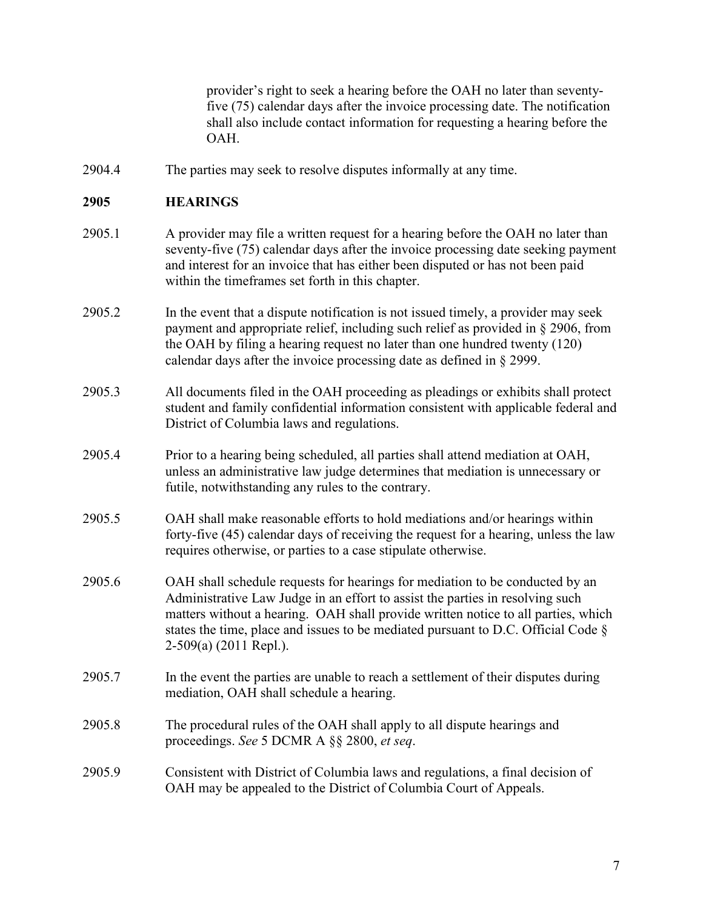provider's right to seek a hearing before the OAH no later than seventyfive (75) calendar days after the invoice processing date. The notification shall also include contact information for requesting a hearing before the OAH.

2904.4 The parties may seek to resolve disputes informally at any time.

# **2905 HEARINGS**

- 2905.1 A provider may file a written request for a hearing before the OAH no later than seventy-five (75) calendar days after the invoice processing date seeking payment and interest for an invoice that has either been disputed or has not been paid within the timeframes set forth in this chapter.
- 2905.2 In the event that a dispute notification is not issued timely, a provider may seek payment and appropriate relief, including such relief as provided in § 2906, from the OAH by filing a hearing request no later than one hundred twenty (120) calendar days after the invoice processing date as defined in § 2999.
- 2905.3 All documents filed in the OAH proceeding as pleadings or exhibits shall protect student and family confidential information consistent with applicable federal and District of Columbia laws and regulations.
- 2905.4 Prior to a hearing being scheduled, all parties shall attend mediation at OAH, unless an administrative law judge determines that mediation is unnecessary or futile, notwithstanding any rules to the contrary.
- 2905.5 OAH shall make reasonable efforts to hold mediations and/or hearings within forty-five (45) calendar days of receiving the request for a hearing, unless the law requires otherwise, or parties to a case stipulate otherwise.
- 2905.6 OAH shall schedule requests for hearings for mediation to be conducted by an Administrative Law Judge in an effort to assist the parties in resolving such matters without a hearing. OAH shall provide written notice to all parties, which states the time, place and issues to be mediated pursuant to D.C. Official Code § 2-509(a) (2011 Repl.).
- 2905.7 In the event the parties are unable to reach a settlement of their disputes during mediation, OAH shall schedule a hearing.
- 2905.8 The procedural rules of the OAH shall apply to all dispute hearings and proceedings. *See* 5 DCMR A §§ 2800, *et seq*.
- 2905.9 Consistent with District of Columbia laws and regulations, a final decision of OAH may be appealed to the District of Columbia Court of Appeals.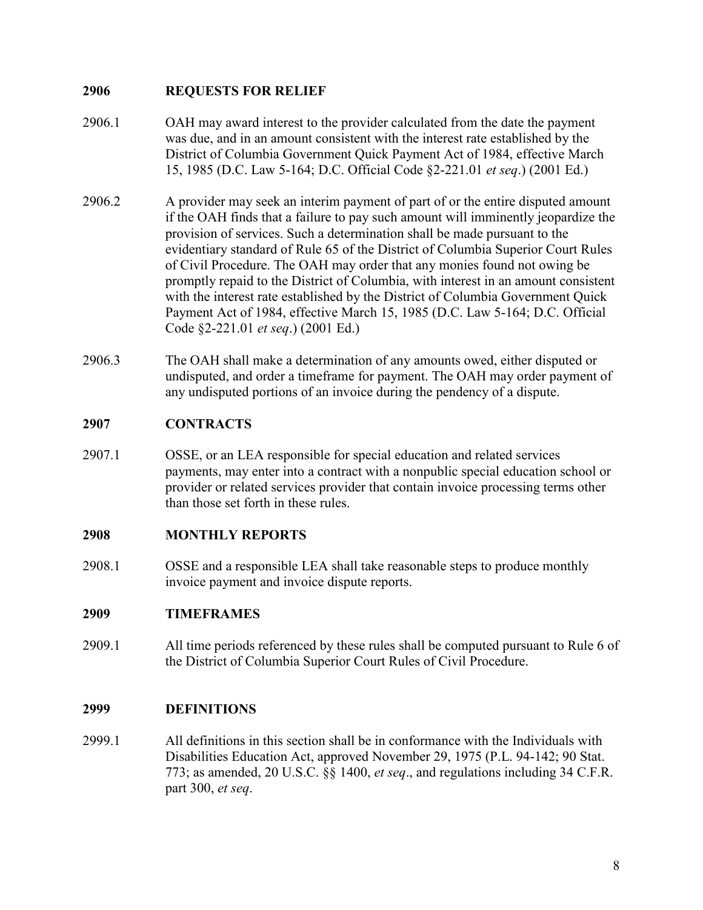# **2906 REQUESTS FOR RELIEF**

- 2906.1 OAH may award interest to the provider calculated from the date the payment was due, and in an amount consistent with the interest rate established by the District of Columbia Government Quick Payment Act of 1984, effective March 15, 1985 (D.C. Law 5-164; D.C. Official Code §2-221.01 *et seq*.) (2001 Ed.)
- 2906.2 A provider may seek an interim payment of part of or the entire disputed amount if the OAH finds that a failure to pay such amount will imminently jeopardize the provision of services. Such a determination shall be made pursuant to the evidentiary standard of Rule 65 of the District of Columbia Superior Court Rules of Civil Procedure. The OAH may order that any monies found not owing be promptly repaid to the District of Columbia, with interest in an amount consistent with the interest rate established by the District of Columbia Government Quick Payment Act of 1984, effective March 15, 1985 (D.C. Law 5-164; D.C. Official Code §2-221.01 *et seq*.) (2001 Ed.)
- 2906.3 The OAH shall make a determination of any amounts owed, either disputed or undisputed, and order a timeframe for payment. The OAH may order payment of any undisputed portions of an invoice during the pendency of a dispute.

## **2907 CONTRACTS**

2907.1 OSSE, or an LEA responsible for special education and related services payments, may enter into a contract with a nonpublic special education school or provider or related services provider that contain invoice processing terms other than those set forth in these rules.

### **2908 MONTHLY REPORTS**

2908.1 OSSE and a responsible LEA shall take reasonable steps to produce monthly invoice payment and invoice dispute reports.

### **2909 TIMEFRAMES**

2909.1 All time periods referenced by these rules shall be computed pursuant to Rule 6 of the District of Columbia Superior Court Rules of Civil Procedure.

### **2999 DEFINITIONS**

2999.1 All definitions in this section shall be in conformance with the Individuals with Disabilities Education Act, approved November 29, 1975 (P.L. 94-142; 90 Stat. 773; as amended, 20 U.S.C. §§ 1400, *et seq*., and regulations including 34 C.F.R. part 300, *et seq*.